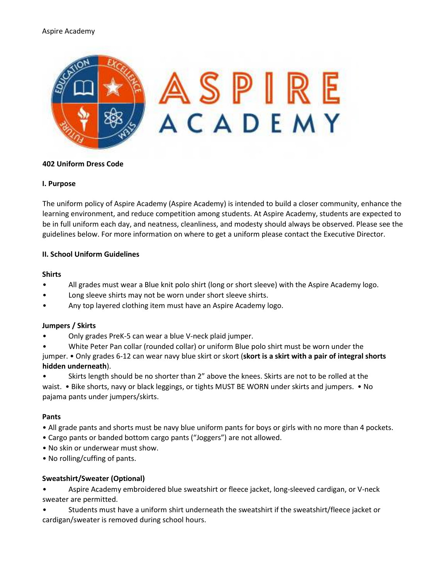### Aspire Academy



## **402 Uniform Dress Code**

### **I. Purpose**

The uniform policy of Aspire Academy (Aspire Academy) is intended to build a closer community, enhance the learning environment, and reduce competition among students. At Aspire Academy, students are expected to be in full uniform each day, and neatness, cleanliness, and modesty should always be observed. Please see the guidelines below. For more information on where to get a uniform please contact the Executive Director.

### **II. School Uniform Guidelines**

#### **Shirts**

- All grades must wear a Blue knit polo shirt (long or short sleeve) with the Aspire Academy logo.
- Long sleeve shirts may not be worn under short sleeve shirts.
- Any top layered clothing item must have an Aspire Academy logo.

#### **Jumpers / Skirts**

- Only grades PreK-5 can wear a blue V-neck plaid jumper.
- White Peter Pan collar (rounded collar) or uniform Blue polo shirt must be worn under the

jumper. • Only grades 6-12 can wear navy blue skirt or skort (**skort is a skirt with a pair of integral shorts hidden underneath**).

• Skirts length should be no shorter than 2" above the knees. Skirts are not to be rolled at the waist. • Bike shorts, navy or black leggings, or tights MUST BE WORN under skirts and jumpers. • No pajama pants under jumpers/skirts.

#### **Pants**

- All grade pants and shorts must be navy blue uniform pants for boys or girls with no more than 4 pockets.
- Cargo pants or banded bottom cargo pants ("Joggers") are not allowed.
- No skin or underwear must show.
- No rolling/cuffing of pants.

## **Sweatshirt/Sweater (Optional)**

• Aspire Academy embroidered blue sweatshirt or fleece jacket, long-sleeved cardigan, or V-neck sweater are permitted.

• Students must have a uniform shirt underneath the sweatshirt if the sweatshirt/fleece jacket or cardigan/sweater is removed during school hours.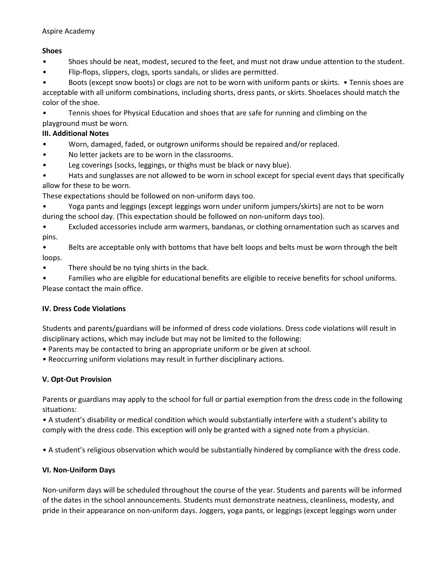# **Shoes**

- Shoes should be neat, modest, secured to the feet, and must not draw undue attention to the student.
- Flip-flops, slippers, clogs, sports sandals, or slides are permitted.

• Boots (except snow boots) or clogs are not to be worn with uniform pants or skirts. • Tennis shoes are acceptable with all uniform combinations, including shorts, dress pants, or skirts. Shoelaces should match the color of the shoe.

• Tennis shoes for Physical Education and shoes that are safe for running and climbing on the playground must be worn.

# **III. Additional Notes**

- Worn, damaged, faded, or outgrown uniforms should be repaired and/or replaced.
- No letter jackets are to be worn in the classrooms.
- Leg coverings (socks, leggings, or thighs must be black or navy blue).
- Hats and sunglasses are not allowed to be worn in school except for special event days that specifically allow for these to be worn.

These expectations should be followed on non-uniform days too.

- Yoga pants and leggings (except leggings worn under uniform jumpers/skirts) are not to be worn during the school day. (This expectation should be followed on non-uniform days too).
- Excluded accessories include arm warmers, bandanas, or clothing ornamentation such as scarves and pins.
- Belts are acceptable only with bottoms that have belt loops and belts must be worn through the belt loops.
- There should be no tying shirts in the back.
- Families who are eligible for educational benefits are eligible to receive benefits for school uniforms. Please contact the main office.

# **IV. Dress Code Violations**

Students and parents/guardians will be informed of dress code violations. Dress code violations will result in disciplinary actions, which may include but may not be limited to the following:

- Parents may be contacted to bring an appropriate uniform or be given at school.
- Reoccurring uniform violations may result in further disciplinary actions.

# **V. Opt-Out Provision**

Parents or guardians may apply to the school for full or partial exemption from the dress code in the following situations:

• A student's disability or medical condition which would substantially interfere with a student's ability to comply with the dress code. This exception will only be granted with a signed note from a physician.

• A student's religious observation which would be substantially hindered by compliance with the dress code.

# **VI. Non-Uniform Days**

Non-uniform days will be scheduled throughout the course of the year. Students and parents will be informed of the dates in the school announcements. Students must demonstrate neatness, cleanliness, modesty, and pride in their appearance on non-uniform days. Joggers, yoga pants, or leggings (except leggings worn under